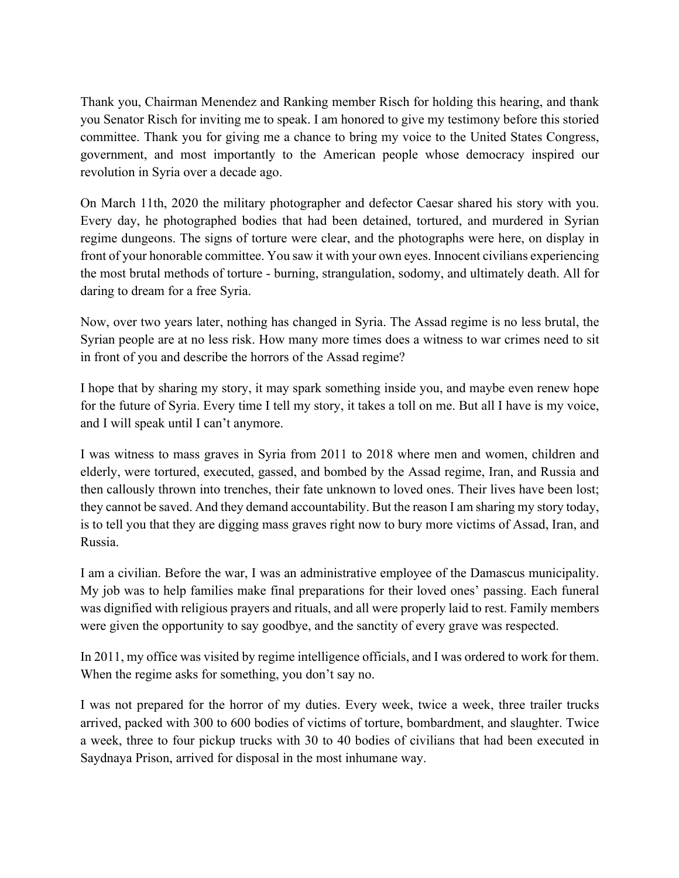Thank you, Chairman Menendez and Ranking member Risch for holding this hearing, and thank you Senator Risch for inviting me to speak. I am honored to give my testimony before this storied committee. Thank you for giving me a chance to bring my voice to the United States Congress, government, and most importantly to the American people whose democracy inspired our revolution in Syria over a decade ago.

On March 11th, 2020 the military photographer and defector Caesar shared his story with you. Every day, he photographed bodies that had been detained, tortured, and murdered in Syrian regime dungeons. The signs of torture were clear, and the photographs were here, on display in front of your honorable committee. You saw it with your own eyes. Innocent civilians experiencing the most brutal methods of torture - burning, strangulation, sodomy, and ultimately death. All for daring to dream for a free Syria.

Now, over two years later, nothing has changed in Syria. The Assad regime is no less brutal, the Syrian people are at no less risk. How many more times does a witness to war crimes need to sit in front of you and describe the horrors of the Assad regime?

I hope that by sharing my story, it may spark something inside you, and maybe even renew hope for the future of Syria. Every time I tell my story, it takes a toll on me. But all I have is my voice, and I will speak until I can't anymore.

I was witness to mass graves in Syria from 2011 to 2018 where men and women, children and elderly, were tortured, executed, gassed, and bombed by the Assad regime, Iran, and Russia and then callously thrown into trenches, their fate unknown to loved ones. Their lives have been lost; they cannot be saved. And they demand accountability. But the reason I am sharing my story today, is to tell you that they are digging mass graves right now to bury more victims of Assad, Iran, and Russia.

I am a civilian. Before the war, I was an administrative employee of the Damascus municipality. My job was to help families make final preparations for their loved ones' passing. Each funeral was dignified with religious prayers and rituals, and all were properly laid to rest. Family members were given the opportunity to say goodbye, and the sanctity of every grave was respected.

In 2011, my office was visited by regime intelligence officials, and I was ordered to work for them. When the regime asks for something, you don't say no.

I was not prepared for the horror of my duties. Every week, twice a week, three trailer trucks arrived, packed with 300 to 600 bodies of victims of torture, bombardment, and slaughter. Twice a week, three to four pickup trucks with 30 to 40 bodies of civilians that had been executed in Saydnaya Prison, arrived for disposal in the most inhumane way.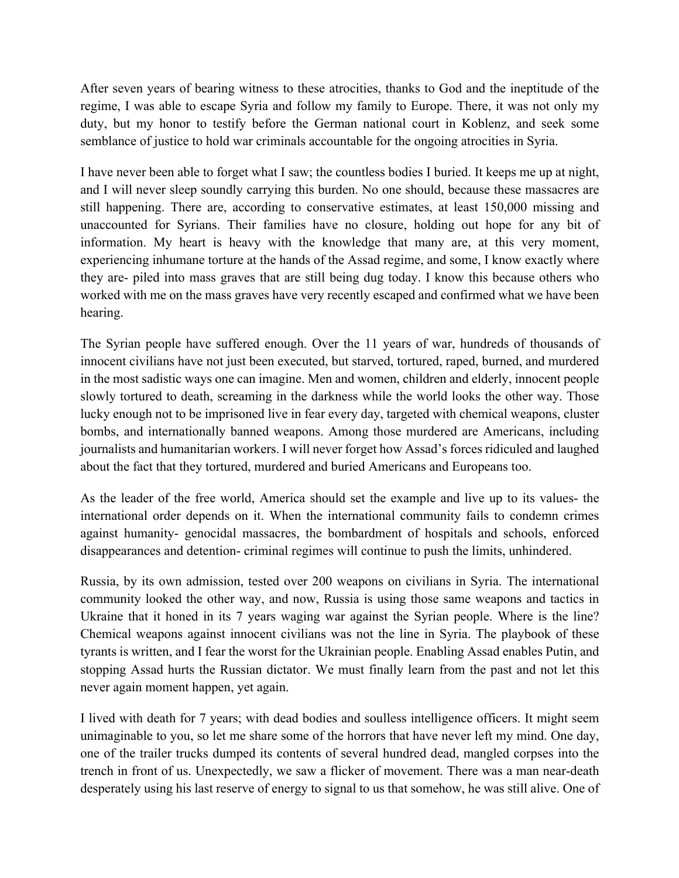After seven years of bearing witness to these atrocities, thanks to God and the ineptitude of the regime, I was able to escape Syria and follow my family to Europe. There, it was not only my duty, but my honor to testify before the German national court in Koblenz, and seek some semblance of justice to hold war criminals accountable for the ongoing atrocities in Syria.

I have never been able to forget what I saw; the countless bodies I buried. It keeps me up at night, and I will never sleep soundly carrying this burden. No one should, because these massacres are still happening. There are, according to conservative estimates, at least 150,000 missing and unaccounted for Syrians. Their families have no closure, holding out hope for any bit of information. My heart is heavy with the knowledge that many are, at this very moment, experiencing inhumane torture at the hands of the Assad regime, and some, I know exactly where they are- piled into mass graves that are still being dug today. I know this because others who worked with me on the mass graves have very recently escaped and confirmed what we have been hearing.

The Syrian people have suffered enough. Over the 11 years of war, hundreds of thousands of innocent civilians have not just been executed, but starved, tortured, raped, burned, and murdered in the most sadistic ways one can imagine. Men and women, children and elderly, innocent people slowly tortured to death, screaming in the darkness while the world looks the other way. Those lucky enough not to be imprisoned live in fear every day, targeted with chemical weapons, cluster bombs, and internationally banned weapons. Among those murdered are Americans, including journalists and humanitarian workers. I will never forget how Assad's forces ridiculed and laughed about the fact that they tortured, murdered and buried Americans and Europeans too.

As the leader of the free world, America should set the example and live up to its values- the international order depends on it. When the international community fails to condemn crimes against humanity- genocidal massacres, the bombardment of hospitals and schools, enforced disappearances and detention- criminal regimes will continue to push the limits, unhindered.

Russia, by its own admission, tested over 200 weapons on civilians in Syria. The international community looked the other way, and now, Russia is using those same weapons and tactics in Ukraine that it honed in its 7 years waging war against the Syrian people. Where is the line? Chemical weapons against innocent civilians was not the line in Syria. The playbook of these tyrants is written, and I fear the worst for the Ukrainian people. Enabling Assad enables Putin, and stopping Assad hurts the Russian dictator. We must finally learn from the past and not let this never again moment happen, yet again.

I lived with death for 7 years; with dead bodies and soulless intelligence officers. It might seem unimaginable to you, so let me share some of the horrors that have never left my mind. One day, one of the trailer trucks dumped its contents of several hundred dead, mangled corpses into the trench in front of us. Unexpectedly, we saw a flicker of movement. There was a man near-death desperately using his last reserve of energy to signal to us that somehow, he was still alive. One of